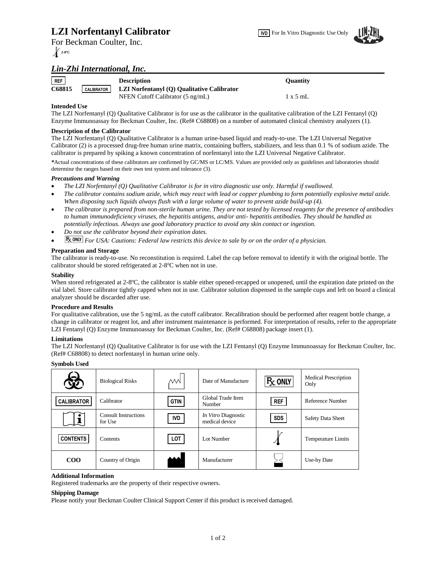# **LZI Norfentanyl Calibrator**



For Beckman Coulter, Inc. **2-8ºC**

# *Lin-Zhi International, Inc.*

| REF    |                   | <b>Description</b>                         | <b>Ouantity</b> |
|--------|-------------------|--------------------------------------------|-----------------|
| C68815 | <b>CALIBRATOR</b> | LZI Norfentanyl (Q) Qualitative Calibrator |                 |
|        |                   | NFEN Cutoff Calibrator (5 ng/mL)           | $1 \times 5$ mL |

### **Intended Use**

The LZI Norfentanyl (Q) Qualitative Calibrator is for use as the calibrator in the qualitative calibration of the LZI Fentanyl (Q) Enzyme Immunoassay for Beckman Coulter, Inc. (Ref# C68808) on a number of automated clinical chemistry analyzers (1).

### **Description of the Calibrator**

The LZI Norfentanyl (Q) Qualitative Calibrator is a human urine-based liquid and ready-to-use. The LZI Universal Negative Calibrator (2) is a processed drug-free human urine matrix, containing buffers, stabilizers, and less than 0.1 % of sodium azide. The calibrator is prepared by spiking a known concentration of norfentanyl into the LZI Universal Negative Calibrator.

*\**Actual concentrations of these calibrators are confirmed by GC/MS or LC/MS. Values are provided only as guidelines and laboratories should determine the ranges based on their own test system and tolerance (3).

#### *Precautions and Warning*

- *The LZI Norfentanyl (Q) Qualitative Calibrator is for in vitro diagnostic use only. Harmful if swallowed.*
- *The calibrator contains sodium azide, which may react with lead or copper plumbing to form potentially explosive metal azide. When disposing such liquids always flush with a large volume of water to prevent azide build-up (4).*
- *The calibrator is prepared from non-sterile human urine. They are not tested by licensed reagents for the presence of antibodies to human immunodeficiency viruses, the hepatitis antigens, and/or anti- hepatitis antibodies. They should be handled as potentially infectious. Always use good laboratory practice to avoid any skin contact or ingestion.*
- *Do not use the calibrator beyond their expiration dates.*
- **Fx ONLY** For USA: Cautions: Federal law restricts this device to sale by or on the order of a physician.

## **Preparation and Storage**

The calibrator is ready-to-use. No reconstitution is required. Label the cap before removal to identify it with the original bottle. The calibrator should be stored refrigerated at 2-8ºC when not in use.

#### **Stability**

When stored refrigerated at 2-8°C, the calibrator is stable either opened-recapped or unopened, until the expiration date printed on the vial label. Store calibrator tightly capped when not in use. Calibrator solution dispensed in the sample cups and left on board a clinical analyzer should be discarded after use.

#### **Procedure and Results**

For qualitative calibration, use the 5 ng/mL as the cutoff calibrator. Recalibration should be performed after reagent bottle change, a change in calibrator or reagent lot, and after instrument maintenance is performed. For interpretation of results, refer to the appropriate LZI Fentanyl (Q) Enzyme Immunoassay for Beckman Coulter, Inc. (Ref# C68808) package insert (1).

#### **Limitations**

The LZI Norfentanyl (Q) Qualitative Calibrator is for use with the LZI Fentanyl (Q) Enzyme Immunoassay for Beckman Coulter, Inc. (Ref# C68808) to detect norfentanyl in human urine only.

| <b>Symbols Used</b> |                                        |               |                                       |                  |                                     |  |  |  |
|---------------------|----------------------------------------|---------------|---------------------------------------|------------------|-------------------------------------|--|--|--|
| 铋                   | <b>Biological Risks</b>                | $\mathcal{M}$ | Date of Manufacture                   | $R_{\rm X}$ only | <b>Medical Prescription</b><br>Only |  |  |  |
| <b>CALIBRATOR</b>   | Calibrator                             | <b>GTIN</b>   | Global Trade Item<br>Number           | <b>REF</b>       | Reference Number                    |  |  |  |
|                     | <b>Consult Instructions</b><br>for Use | <b>IVD</b>    | In Vitro Diagnostic<br>medical device | <b>SDS</b>       | <b>Safety Data Sheet</b>            |  |  |  |
| <b>CONTENTS</b>     | Contents                               | LOT           | Lot Number                            |                  | <b>Temperature Limits</b>           |  |  |  |
| $\rm{COO}$          | Country of Origin                      |               | Manufacturer                          |                  | Use-by Date                         |  |  |  |

#### **Additional Information**

Registered trademarks are the property of their respective owners.

#### **Shipping Damage**

Please notify your Beckman Coulter Clinical Support Center if this product is received damaged.